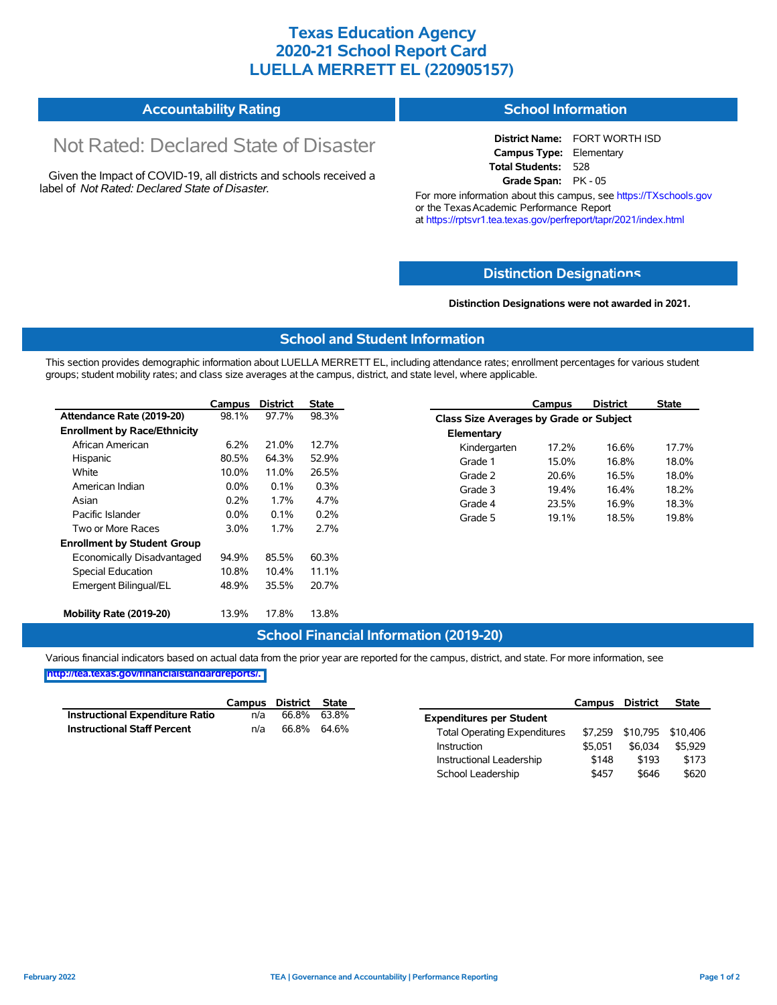## **Texas Education Agency 2020-21 School Report Card LUELLA MERRETT EL (220905157)**

#### **Accountability Rating School Information**

# Not Rated: Declared State of Disaster

Given the Impact of COVID-19, all districts and schools received a label of *Not Rated: Declared State of Disaster.*

**District Name:** FORT WORTH ISD **Campus Type:** Elementary **Total Students:** 528 **Grade Span:** PK - 05

For more information about this campus, see https://TXschools.gov or the Texas Academic Performance Report at https://rptsvr1.tea.texas.gov/perfreport/tapr/2021/index.html

#### **Distinction Designat[ions](https://TXschools.gov)**

**Distinction Designations were not awarded in 2021.**

School Leadership  $$457$  \$646 \$620

#### **School and Student Information**

This section provides demographic information about LUELLA MERRETT EL, including attendance rates; enrollment percentages for various student groups; student mobility rates; and class size averages at the campus, district, and state level, where applicable.

|                                     | Campus  | <b>District</b> | <b>State</b> |              | Campus                                         | <b>District</b> | <b>State</b> |  |  |
|-------------------------------------|---------|-----------------|--------------|--------------|------------------------------------------------|-----------------|--------------|--|--|
| Attendance Rate (2019-20)           | 98.1%   | 97.7%           | 98.3%        |              | <b>Class Size Averages by Grade or Subject</b> |                 |              |  |  |
| <b>Enrollment by Race/Ethnicity</b> |         |                 |              | Elementary   |                                                |                 |              |  |  |
| African American                    | 6.2%    | 21.0%           | 12.7%        | Kindergarten | 17.2%                                          | 16.6%           | 17.7%        |  |  |
| Hispanic                            | 80.5%   | 64.3%           | 52.9%        | Grade 1      | 15.0%                                          | 16.8%           | 18.0%        |  |  |
| White                               | 10.0%   | 11.0%           | 26.5%        | Grade 2      | 20.6%                                          | 16.5%           | 18.0%        |  |  |
| American Indian                     | 0.0%    | 0.1%            | 0.3%         | Grade 3      | 19.4%                                          | 16.4%           | 18.2%        |  |  |
| Asian                               | 0.2%    | 1.7%            | 4.7%         | Grade 4      | 23.5%                                          | 16.9%           | 18.3%        |  |  |
| Pacific Islander                    | $0.0\%$ | 0.1%            | 0.2%         | Grade 5      | 19.1%                                          | 18.5%           | 19.8%        |  |  |
| Two or More Races                   | $3.0\%$ | 1.7%            | 2.7%         |              |                                                |                 |              |  |  |
| <b>Enrollment by Student Group</b>  |         |                 |              |              |                                                |                 |              |  |  |
| Economically Disadvantaged          | 94.9%   | 85.5%           | 60.3%        |              |                                                |                 |              |  |  |
| Special Education                   | 10.8%   | 10.4%           | 11.1%        |              |                                                |                 |              |  |  |
| Emergent Bilingual/EL               | 48.9%   | 35.5%           | 20.7%        |              |                                                |                 |              |  |  |
|                                     |         |                 |              |              |                                                |                 |              |  |  |
| Mobility Rate (2019-20)             | 13.9%   | 17.8%           | 13.8%        |              |                                                |                 |              |  |  |

#### **School Financial Information (2019-20)**

Various financial indicators based on actual data from the prior year are reported for the campus, district, and state. For more information, see

**[http://tea.texas.gov/financialstandardreports/.](http://tea.texas.gov/financialstandardreports/)**

|                                        | Campus | District | State |                                     | Campus  | <b>District</b>           | <b>State</b> |
|----------------------------------------|--------|----------|-------|-------------------------------------|---------|---------------------------|--------------|
| <b>Instructional Expenditure Ratio</b> | n/a    | 66.8%    | 63.8% | <b>Expenditures per Student</b>     |         |                           |              |
| <b>Instructional Staff Percent</b>     | n/a    | 66.8%    | 64.6% | <b>Total Operating Expenditures</b> |         | \$7,259 \$10,795 \$10,406 |              |
|                                        |        |          |       | Instruction                         | \$5.051 | \$6,034                   | \$5.929      |
|                                        |        |          |       | Instructional Leadership            | \$148   | \$193                     | \$173        |